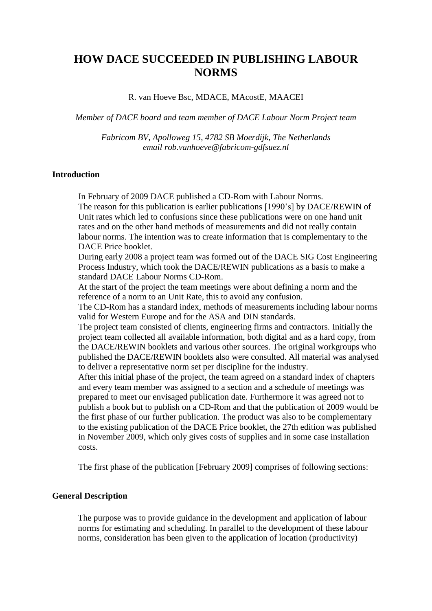# **HOW DACE SUCCEEDED IN PUBLISHING LABOUR NORMS**

#### R. van Hoeve Bsc, MDACE, MAcostE, MAACEI

*Member of DACE board and team member of DACE Labour Norm Project team*

*Fabricom BV, Apolloweg 15, 4782 SB Moerdijk, The Netherlands email rob.vanhoeve@fabricom-gdfsuez.nl*

### **Introduction**

In February of 2009 DACE published a CD-Rom with Labour Norms.

The reason for this publication is earlier publications [1990"s] by DACE/REWIN of Unit rates which led to confusions since these publications were on one hand unit rates and on the other hand methods of measurements and did not really contain labour norms. The intention was to create information that is complementary to the DACE Price booklet.

During early 2008 a project team was formed out of the DACE SIG Cost Engineering Process Industry, which took the DACE/REWIN publications as a basis to make a standard DACE Labour Norms CD-Rom.

At the start of the project the team meetings were about defining a norm and the reference of a norm to an Unit Rate, this to avoid any confusion.

The CD-Rom has a standard index, methods of measurements including labour norms valid for Western Europe and for the ASA and DIN standards.

The project team consisted of clients, engineering firms and contractors. Initially the project team collected all available information, both digital and as a hard copy, from the DACE/REWIN booklets and various other sources. The original workgroups who published the DACE/REWIN booklets also were consulted. All material was analysed to deliver a representative norm set per discipline for the industry.

After this initial phase of the project, the team agreed on a standard index of chapters and every team member was assigned to a section and a schedule of meetings was prepared to meet our envisaged publication date. Furthermore it was agreed not to publish a book but to publish on a CD-Rom and that the publication of 2009 would be the first phase of our further publication. The product was also to be complementary to the existing publication of the DACE Price booklet, the 27th edition was published in November 2009, which only gives costs of supplies and in some case installation costs.

The first phase of the publication [February 2009] comprises of following sections:

#### **General Description**

The purpose was to provide guidance in the development and application of labour norms for estimating and scheduling. In parallel to the development of these labour norms, consideration has been given to the application of location (productivity)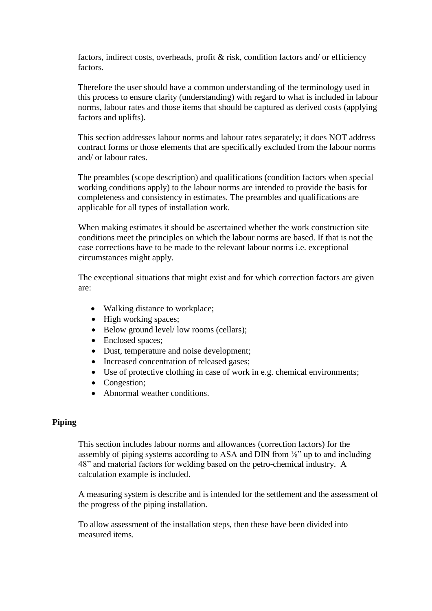factors, indirect costs, overheads, profit & risk, condition factors and/ or efficiency factors.

Therefore the user should have a common understanding of the terminology used in this process to ensure clarity (understanding) with regard to what is included in labour norms, labour rates and those items that should be captured as derived costs (applying factors and uplifts).

This section addresses labour norms and labour rates separately; it does NOT address contract forms or those elements that are specifically excluded from the labour norms and/ or labour rates.

The preambles (scope description) and qualifications (condition factors when special working conditions apply) to the labour norms are intended to provide the basis for completeness and consistency in estimates. The preambles and qualifications are applicable for all types of installation work.

When making estimates it should be ascertained whether the work construction site conditions meet the principles on which the labour norms are based. If that is not the case corrections have to be made to the relevant labour norms i.e. exceptional circumstances might apply.

The exceptional situations that might exist and for which correction factors are given are:

- Walking distance to workplace;
- High working spaces;
- Below ground level/ low rooms (cellars);
- Enclosed spaces;
- Dust, temperature and noise development;
- Increased concentration of released gases;
- Use of protective clothing in case of work in e.g. chemical environments;
- Congestion:
- Abnormal weather conditions.

### **Piping**

This section includes labour norms and allowances (correction factors) for the assembly of piping systems according to ASA and DIN from ⅛" up to and including 48" and material factors for welding based on the petro-chemical industry. A calculation example is included.

A measuring system is describe and is intended for the settlement and the assessment of the progress of the piping installation.

To allow assessment of the installation steps, then these have been divided into measured items.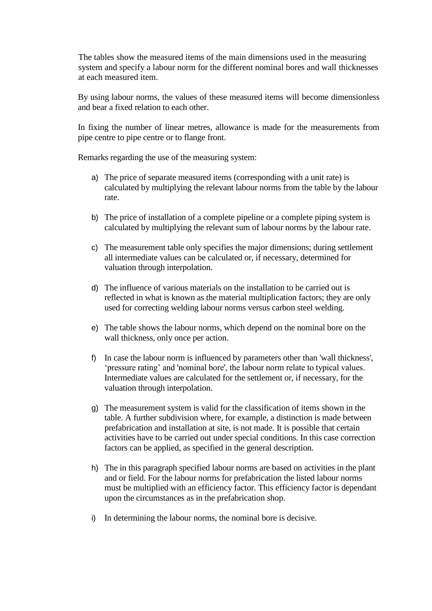The tables show the measured items of the main dimensions used in the measuring system and specify a labour norm for the different nominal bores and wall thicknesses at each measured item.

By using labour norms, the values of these measured items will become dimensionless and bear a fixed relation to each other.

In fixing the number of linear metres, allowance is made for the measurements from pipe centre to pipe centre or to flange front.

Remarks regarding the use of the measuring system:

- a) The price of separate measured items (corresponding with a unit rate) is calculated by multiplying the relevant labour norms from the table by the labour rate.
- b) The price of installation of a complete pipeline or a complete piping system is calculated by multiplying the relevant sum of labour norms by the labour rate.
- c) The measurement table only specifies the major dimensions; during settlement all intermediate values can be calculated or, if necessary, determined for valuation through interpolation.
- d) The influence of various materials on the installation to be carried out is reflected in what is known as the material multiplication factors; they are only used for correcting welding labour norms versus carbon steel welding.
- e) The table shows the labour norms, which depend on the nominal bore on the wall thickness, only once per action.
- f) In case the labour norm is influenced by parameters other than 'wall thickness', 'pressure rating' and 'nominal bore', the labour norm relate to typical values. Intermediate values are calculated for the settlement or, if necessary, for the valuation through interpolation.
- g) The measurement system is valid for the classification of items shown in the table. A further subdivision where, for example, a distinction is made between prefabrication and installation at site, is not made. It is possible that certain activities have to be carried out under special conditions. In this case correction factors can be applied, as specified in the general description.
- h) The in this paragraph specified labour norms are based on activities in the plant and or field. For the labour norms for prefabrication the listed labour norms must be multiplied with an efficiency factor. This efficiency factor is dependant upon the circumstances as in the prefabrication shop.
- i) In determining the labour norms, the nominal bore is decisive.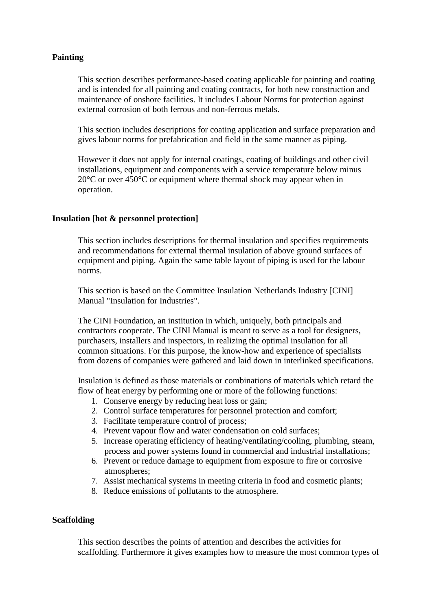## **Painting**

This section describes performance-based coating applicable for painting and coating and is intended for all painting and coating contracts, for both new construction and maintenance of onshore facilities. It includes Labour Norms for protection against external corrosion of both ferrous and non-ferrous metals.

This section includes descriptions for coating application and surface preparation and gives labour norms for prefabrication and field in the same manner as piping.

However it does not apply for internal coatings, coating of buildings and other civil installations, equipment and components with a service temperature below minus 20°C or over 450°C or equipment where thermal shock may appear when in operation.

## **Insulation [hot & personnel protection]**

This section includes descriptions for thermal insulation and specifies requirements and recommendations for external thermal insulation of above ground surfaces of equipment and piping. Again the same table layout of piping is used for the labour norms.

This section is based on the Committee Insulation Netherlands Industry [CINI] Manual "Insulation for Industries".

The CINI Foundation, an institution in which, uniquely, both principals and contractors cooperate. The CINI Manual is meant to serve as a tool for designers, purchasers, installers and inspectors, in realizing the optimal insulation for all common situations. For this purpose, the know-how and experience of specialists from dozens of companies were gathered and laid down in interlinked specifications.

Insulation is defined as those materials or combinations of materials which retard the flow of heat energy by performing one or more of the following functions:

- 1. Conserve energy by reducing heat loss or gain;
- 2. Control surface temperatures for personnel protection and comfort;
- 3. Facilitate temperature control of process;
- 4. Prevent vapour flow and water condensation on cold surfaces;
- 5. Increase operating efficiency of heating/ventilating/cooling, plumbing, steam, process and power systems found in commercial and industrial installations;
- 6. Prevent or reduce damage to equipment from exposure to fire or corrosive atmospheres;
- 7. Assist mechanical systems in meeting criteria in food and cosmetic plants;
- 8. Reduce emissions of pollutants to the atmosphere.

### **Scaffolding**

This section describes the points of attention and describes the activities for scaffolding. Furthermore it gives examples how to measure the most common types of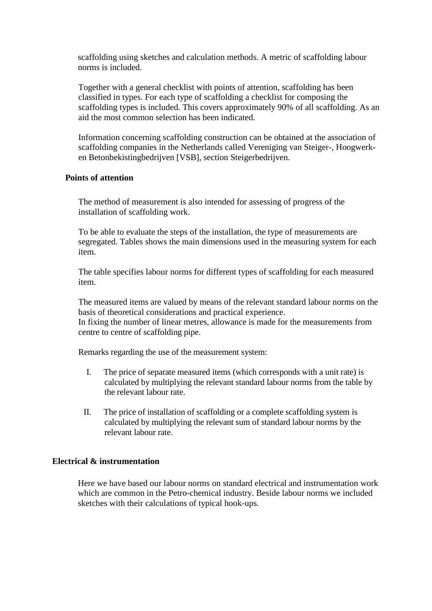scaffolding using sketches and calculation methods. A metric of scaffolding labour norms is included.

Together with a general checklist with points of attention, scaffolding has been classified in types. For each type of scaffolding a checklist for composing the scaffolding types is included. This covers approximately 90% of all scaffolding. As an aid the most common selection has been indicated.

Information concerning scaffolding construction can be obtained at the association of scaffolding companies in the Netherlands called Vereniging van Steiger-, Hoogwerken Betonbekistingbedrijven [VSB], section Steigerbedrijven.

### **Points of attention**

The method of measurement is also intended for assessing of progress of the installation of scaffolding work.

To be able to evaluate the steps of the installation, the type of measurements are segregated. Tables shows the main dimensions used in the measuring system for each item.

The table specifies labour norms for different types of scaffolding for each measured item.

The measured items are valued by means of the relevant standard labour norms on the basis of theoretical considerations and practical experience.

In fixing the number of linear metres, allowance is made for the measurements from centre to centre of scaffolding pipe.

Remarks regarding the use of the measurement system:

- I. The price of separate measured items (which corresponds with a unit rate) is calculated by multiplying the relevant standard labour norms from the table by the relevant labour rate.
- II. The price of installation of scaffolding or a complete scaffolding system is calculated by multiplying the relevant sum of standard labour norms by the relevant labour rate.

#### **Electrical & instrumentation**

Here we have based our labour norms on standard electrical and instrumentation work which are common in the Petro-chemical industry. Beside labour norms we included sketches with their calculations of typical hook-ups.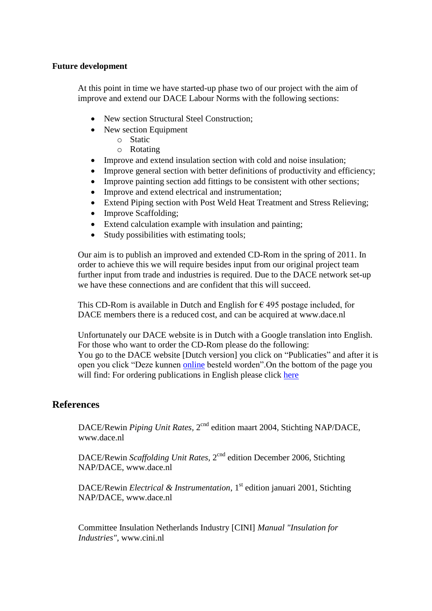## **Future development**

At this point in time we have started-up phase two of our project with the aim of improve and extend our DACE Labour Norms with the following sections:

- New section Structural Steel Construction;
- New section Equipment
	- o Static
	- o Rotating
- Improve and extend insulation section with cold and noise insulation;
- Improve general section with better definitions of productivity and efficiency;
- Improve painting section add fittings to be consistent with other sections;
- Improve and extend electrical and instrumentation;
- Extend Piping section with Post Weld Heat Treatment and Stress Relieving;
- Improve Scaffolding;
- Extend calculation example with insulation and painting;
- Study possibilities with estimating tools;

Our aim is to publish an improved and extended CD-Rom in the spring of 2011. In order to achieve this we will require besides input from our original project team further input from trade and industries is required. Due to the DACE network set-up we have these connections and are confident that this will succeed.

This CD-Rom is available in Dutch and English for  $\epsilon$  495 postage included, for DACE members there is a reduced cost, and can be acquired at [www.dace.nl](http://www.dace.nl/)

Unfortunately our DACE website is in Dutch with a Google translation into English. For those who want to order the CD-Rom please do the following: You go to the DACE website [Dutch version] you click on "Publicaties" and after it is open you click "Deze kunnen [online](http://dace.nl/?page=6297290) besteld worden".On the bottom of the page you will find: For ordering publications in English please click [here](http://dace.nl/?page=14198012)

## **References**

DACE/Rewin *Piping Unit Rates*, 2<sup>cnd</sup> edition maart 2004, Stichting NAP/DACE, www.dace.nl

DACE/Rewin *Scaffolding Unit Rates*, 2<sup>cnd</sup> edition December 2006, Stichting NAP/DACE, www.dace.nl

DACE/Rewin *Electrical & Instrumentation*, 1<sup>st</sup> edition januari 2001, Stichting NAP/DACE, www.dace.nl

Committee Insulation Netherlands Industry [CINI] *Manual "Insulation for Industries",* www.cini.nl